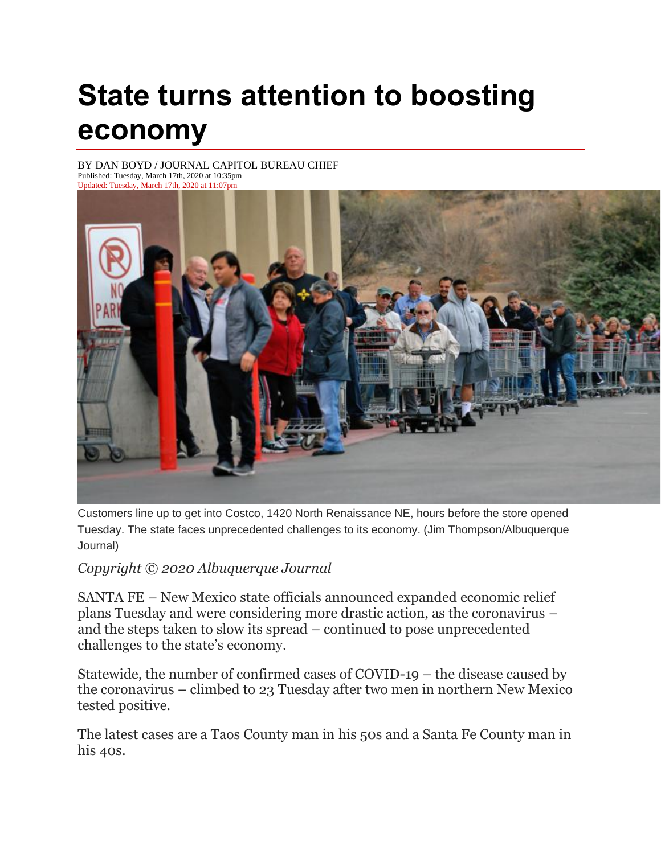## **State turns attention to boosting economy**

BY [DAN BOYD / JOURNAL CAPITOL BUREAU CHIEF](https://www.abqjournal.com/author/dboyd) Published: Tuesday, March 17th, 2020 at 10:35pm Updated: Tuesday, March 17th, 2020 at 11:07pm



Customers line up to get into Costco, 1420 North Renaissance NE, hours before the store opened Tuesday. The state faces unprecedented challenges to its economy. (Jim Thompson/Albuquerque Journal)

*Copyright © 2020 Albuquerque Journal*

SANTA FE – New Mexico state officials announced expanded economic relief plans Tuesday and were considering more drastic action, as the coronavirus – and the steps taken to slow its spread – continued to pose unprecedented challenges to the state's economy.

Statewide, the number of confirmed cases of COVID-19 – the disease caused by the coronavirus – climbed to 23 Tuesday after two men in northern New Mexico tested positive.

The latest cases are a Taos County man in his 50s and a Santa Fe County man in his 40s.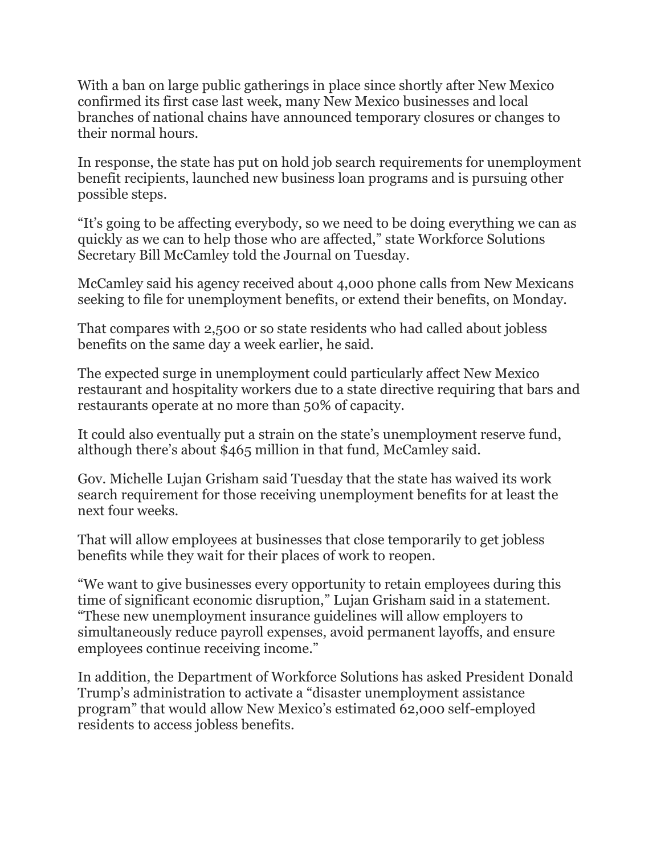With a ban on large public gatherings in place since shortly after New Mexico confirmed its first case last week, many New Mexico businesses and local branches of national chains have announced temporary closures or changes to their normal hours.

In response, the state has put on hold job search requirements for unemployment benefit recipients, launched new business loan programs and is pursuing other possible steps.

"It's going to be affecting everybody, so we need to be doing everything we can as quickly as we can to help those who are affected," state Workforce Solutions Secretary Bill McCamley told the Journal on Tuesday.

McCamley said his agency received about 4,000 phone calls from New Mexicans seeking to file for unemployment benefits, or extend their benefits, on Monday.

That compares with 2,500 or so state residents who had called about jobless benefits on the same day a week earlier, he said.

The expected surge in unemployment could particularly affect New Mexico restaurant and hospitality workers due to a state directive requiring that bars and restaurants operate at no more than 50% of capacity.

It could also eventually put a strain on the state's unemployment reserve fund, although there's about \$465 million in that fund, McCamley said.

Gov. Michelle Lujan Grisham said Tuesday that the state has waived its work search requirement for those receiving unemployment benefits for at least the next four weeks.

That will allow employees at businesses that close temporarily to get jobless benefits while they wait for their places of work to reopen.

"We want to give businesses every opportunity to retain employees during this time of significant economic disruption," Lujan Grisham said in a statement. "These new unemployment insurance guidelines will allow employers to simultaneously reduce payroll expenses, avoid permanent layoffs, and ensure employees continue receiving income."

In addition, the Department of Workforce Solutions has asked President Donald Trump's administration to activate a "disaster unemployment assistance program" that would allow New Mexico's estimated 62,000 self-employed residents to access jobless benefits.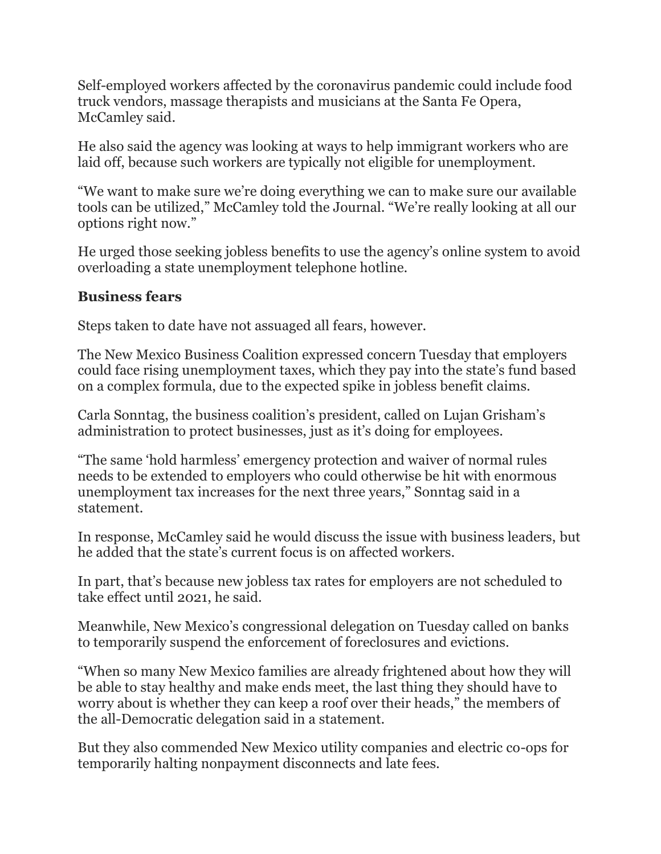Self-employed workers affected by the coronavirus pandemic could include food truck vendors, massage therapists and musicians at the Santa Fe Opera, McCamley said.

He also said the agency was looking at ways to help immigrant workers who are laid off, because such workers are typically not eligible for unemployment.

"We want to make sure we're doing everything we can to make sure our available tools can be utilized," McCamley told the Journal. "We're really looking at all our options right now."

He urged those seeking jobless benefits to use the agency's online system to avoid overloading a state unemployment telephone hotline.

## **Business fears**

Steps taken to date have not assuaged all fears, however.

The New Mexico Business Coalition expressed concern Tuesday that employers could face rising unemployment taxes, which they pay into the state's fund based on a complex formula, due to the expected spike in jobless benefit claims.

Carla Sonntag, the business coalition's president, called on Lujan Grisham's administration to protect businesses, just as it's doing for employees.

"The same 'hold harmless' emergency protection and waiver of normal rules needs to be extended to employers who could otherwise be hit with enormous unemployment tax increases for the next three years," Sonntag said in a statement.

In response, McCamley said he would discuss the issue with business leaders, but he added that the state's current focus is on affected workers.

In part, that's because new jobless tax rates for employers are not scheduled to take effect until 2021, he said.

Meanwhile, New Mexico's congressional delegation on Tuesday called on banks to temporarily suspend the enforcement of foreclosures and evictions.

"When so many New Mexico families are already frightened about how they will be able to stay healthy and make ends meet, the last thing they should have to worry about is whether they can keep a roof over their heads," the members of the all-Democratic delegation said in a statement.

But they also commended New Mexico utility companies and electric co-ops for temporarily halting nonpayment disconnects and late fees.